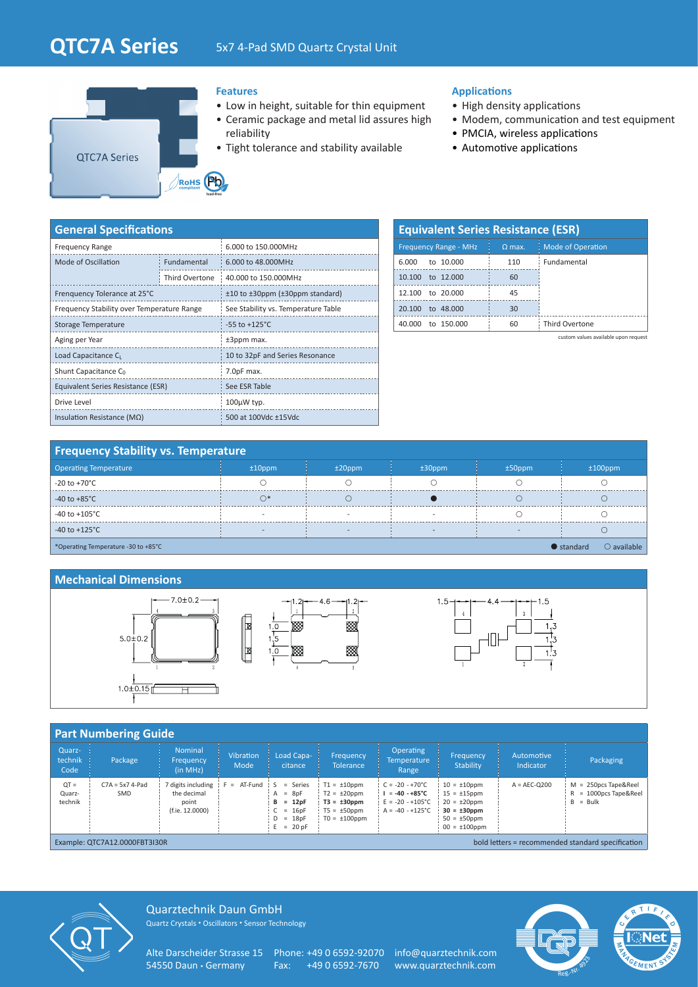# **QTC7A Series** 5x7 4-Pad SMD Quartz Crystal Unit



#### **Features**

- Low in height, suitable for thin equipment
- Ceramic package and metal lid assures high reliability
- Tight tolerance and stability available

#### **Applications**

- High density applications
- Modem, communication and test equipment
- PMCIA, wireless applications
- Automotive applications

| <b>General Specifications</b>              |                |                                                 |  |  |  |  |  |  |  |
|--------------------------------------------|----------------|-------------------------------------------------|--|--|--|--|--|--|--|
| <b>Frequency Range</b>                     |                | 6.000 to 150.000MHz                             |  |  |  |  |  |  |  |
| Mode of Oscillation                        | Fundamental    | 6.000 to 48.000MHz                              |  |  |  |  |  |  |  |
|                                            | Third Overtone | 40,000 to 150,000MHz                            |  |  |  |  |  |  |  |
| Frenquency Tolerance at 25°C               |                | $\pm$ 10 to $\pm$ 30ppm ( $\pm$ 30ppm standard) |  |  |  |  |  |  |  |
| Frequency Stability over Temperature Range |                | See Stability vs. Temperature Table             |  |  |  |  |  |  |  |
| Storage Temperature                        |                | $-55$ to $+125^{\circ}$ C                       |  |  |  |  |  |  |  |
| Aging per Year                             |                | ±3ppm max.                                      |  |  |  |  |  |  |  |
| Load Capacitance C <sub>L</sub>            |                | 10 to 32pF and Series Resonance                 |  |  |  |  |  |  |  |
| Shunt Capacitance C <sub>0</sub>           |                | 7.0pF max.                                      |  |  |  |  |  |  |  |
| Equivalent Series Resistance (ESR)         |                | See ESR Table                                   |  |  |  |  |  |  |  |
| Drive Level                                |                | $100\mu$ W typ.                                 |  |  |  |  |  |  |  |
| Insulation Resistance ( $M\Omega$ )        |                | 500 at 100Vdc ±15Vdc                            |  |  |  |  |  |  |  |

| <b>Equivalent Series Resistance (ESR)</b> |          |                          |  |  |  |  |  |  |  |  |  |
|-------------------------------------------|----------|--------------------------|--|--|--|--|--|--|--|--|--|
| <b>Frequency Range - MHz</b>              | $Q$ max. | <b>Mode of Operation</b> |  |  |  |  |  |  |  |  |  |
| to 10.000<br>6.000                        | 110      | Fundamental              |  |  |  |  |  |  |  |  |  |
| 10.100 to 12,000                          | 60       |                          |  |  |  |  |  |  |  |  |  |
| 12.100 to 20.000                          | 45       |                          |  |  |  |  |  |  |  |  |  |
| to 48,000<br>20,100                       | 30       |                          |  |  |  |  |  |  |  |  |  |
| to 150.000<br>40.000                      | 60       | <b>Third Overtone</b>    |  |  |  |  |  |  |  |  |  |

custom values available upon request

## **Frequency Stability vs. Temperature**

| <b>Operating Temperature</b>                                                      | $±10$ ppm                | $±20$ ppm | $±30$ ppm | $±50$ ppm                | $±100$ ppm |  |  |  |  |  |
|-----------------------------------------------------------------------------------|--------------------------|-----------|-----------|--------------------------|------------|--|--|--|--|--|
| $-20$ to $+70^{\circ}$ C                                                          |                          |           |           |                          |            |  |  |  |  |  |
| $-40$ to $+85^{\circ}$ C                                                          |                          |           |           |                          |            |  |  |  |  |  |
| -40 to +105°C                                                                     |                          |           |           |                          |            |  |  |  |  |  |
| $-40$ to $+125^{\circ}$ C                                                         | $\overline{\phantom{a}}$ |           |           | $\overline{\phantom{a}}$ |            |  |  |  |  |  |
| $\bigcirc$ available<br>$\bullet$ standard<br>*Operating Temperature -30 to +85°C |                          |           |           |                          |            |  |  |  |  |  |

#### **Mechanical Dimensions**



#### **Part Numbering Guide**

| <b>Fait Numbering Ouiuc</b>                                                        |                          |                                                                                     |                          |                                                                              |                                                                                                     |                                                                                                                |                                                                                                                             |                         |                                                                  |  |  |
|------------------------------------------------------------------------------------|--------------------------|-------------------------------------------------------------------------------------|--------------------------|------------------------------------------------------------------------------|-----------------------------------------------------------------------------------------------------|----------------------------------------------------------------------------------------------------------------|-----------------------------------------------------------------------------------------------------------------------------|-------------------------|------------------------------------------------------------------|--|--|
| Quarz-<br>technik<br>Code                                                          | Package                  | <b>Nominal</b><br>Frequency<br>(in MHz)                                             | <b>Vibration</b><br>Mode | Load Capa-<br>citance                                                        | <b>Frequency</b><br><b>Tolerance</b>                                                                | <b>Operating</b><br><b>Temperature</b><br>Range                                                                | Frequency<br><b>Stability</b>                                                                                               | Automotive<br>Indicator | Packaging                                                        |  |  |
| $OT =$<br>Quarz-<br>technik                                                        | $C7A = 5x7$ 4-Pad<br>SMD | 7 digits including $ F  = AT-Fund$ $ S $<br>the decimal<br>point<br>(f.ie. 12.0000) |                          | = Series<br>$A = 8pF$<br>$= 12pF$<br>$C = 16pF$<br>$D = 18pF$<br>$E = 20$ pF | $T1 = \pm 10$ ppm<br>$T2 = \pm 20$ ppm<br>$T3 = \pm 30$ ppm<br>$T5 = \pm 50$ ppm<br>$TO = ±100$ ppm | $C = -20 - +70^{\circ}C$<br>$I = -40 - +85^{\circ}C$<br>$E = -20 - +105^{\circ}C$<br>$A = -40 - +125^{\circ}C$ | $10 = \pm 10$ ppm<br>$15 = \pm 15$ ppm<br>$20 = \pm 20$ ppm<br>$30 = \pm 30$ ppm<br>$50 = \pm 50$ ppm<br>$00 = \pm 100$ ppm | $A = AEC-O200$          | $M = 250DCS$ Tape&Reel<br>$R = 1000$ pcs Tape&Reel<br>$B = Bulk$ |  |  |
| bold letters = recommended standard specification<br>Example: QTC7A12.0000FBT3I30R |                          |                                                                                     |                          |                                                                              |                                                                                                     |                                                                                                                |                                                                                                                             |                         |                                                                  |  |  |



Quarztechnik Daun GmbH Quartz Crystals • Oscillators • Sensor Technology

Alte Darscheider Strasse 15 Phone: +49 0 6592-92070 info@quarztechnik.com<br>54550 Daun · Germany Fax: +49 0 6592-7670 www.quarztechnik.com

Fax: +49 0 6592-7670 www.quarztechnik.com